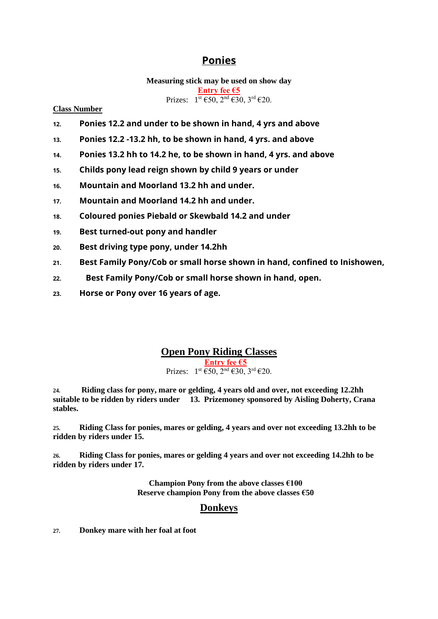# **Ponies**

**Measuring stick may be used on show day Entry fee €5** Prizes:  $1^{st}$   $\in$  50,  $2^{nd}$   $\in$  30,  $3^{rd}$   $\in$  20.

**Class Number** 

- **12. Ponies 12.2 and under to be shown in hand, 4 yrs and above**
- **13. Ponies 12.2 -13.2 hh, to be shown in hand, 4 yrs. and above**
- **14. Ponies 13.2 hh to 14.2 he, to be shown in hand, 4 yrs. and above**
- **15. Childs pony lead reign shown by child 9 years or under**
- **16. Mountain and Moorland 13.2 hh and under.**
- **17. Mountain and Moorland 14.2 hh and under.**
- **18. Coloured ponies Piebald or Skewbald 14.2 and under**
- **19. Best turned-out pony and handler**
- **20. Best driving type pony, under 14.2hh**
- **21. Best Family Pony/Cob or small horse shown in hand, confined to Inishowen,**
- **22. Best Family Pony/Cob or small horse shown in hand, open.**
- **23. Horse or Pony over 16 years of age.**

### **Open Pony Riding Classes**

**Entry fee €5** Prizes:  $1^{st} \overline{\epsilon} 50$ ,  $2^{nd} \overline{\epsilon} 30$ ,  $3^{rd} \overline{\epsilon} 20$ .

**24. Riding class for pony, mare or gelding, 4 years old and over, not exceeding 12.2hh suitable to be ridden by riders under 13. Prizemoney sponsored by Aisling Doherty, Crana stables.**

**25. Riding Class for ponies, mares or gelding, 4 years and over not exceeding 13.2hh to be ridden by riders under 15.**

**26. Riding Class for ponies, mares or gelding 4 years and over not exceeding 14.2hh to be ridden by riders under 17.** 

> **Champion Pony from the above classes €100 Reserve champion Pony from the above classes €50**

### **Donkeys**

**27. Donkey mare with her foal at foot**